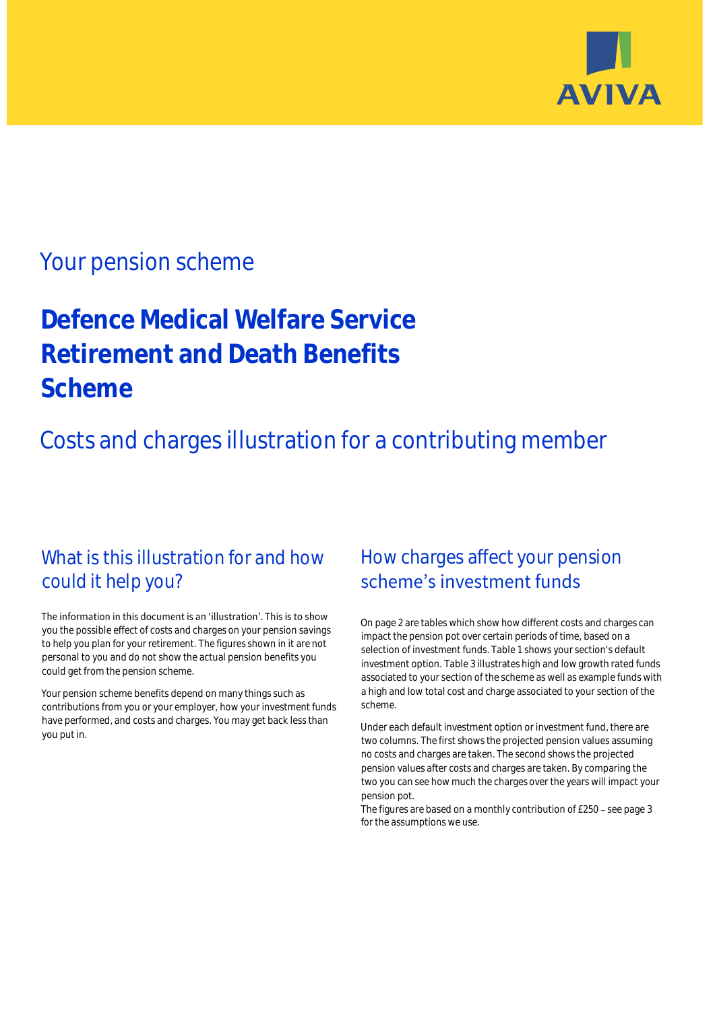

## Your pension scheme

# **Defence Medical Welfare Service Retirement and Death Benefits Scheme**

Costs and charges illustration for a contributing member

### What is this illustration for and how could it help you?

#### The information in this document is an 'illustration'. This is to show you the possible effect of costs and charges on your pension savings to help you plan for your retirement. The figures shown in it are not personal to you and do not show the actual pension benefits you could get from the pension scheme.

Your pension scheme benefits depend on many things such as contributions from you or your employer, how your investment funds have performed, and costs and charges. You may get back less than you put in.

### How charges affect your pension scheme's investment funds

On page 2 are tables which show how different costs and charges can impact the pension pot over certain periods of time, based on a selection of investment funds. Table 1 shows your section's default investment option. Table 3 illustrates high and low growth rated funds associated to your section of the scheme as well as example funds with a high and low total cost and charge associated to your section of the scheme.

Under each default investment option or investment fund, there are two columns. The first shows the projected pension values assuming no costs and charges are taken. The second shows the projected pension values after costs and charges are taken. By comparing the two you can see how much the charges over the years will impact your pension pot.

The figures are based on a monthly contribution of  $£250 -$  see page 3 for the assumptions we use.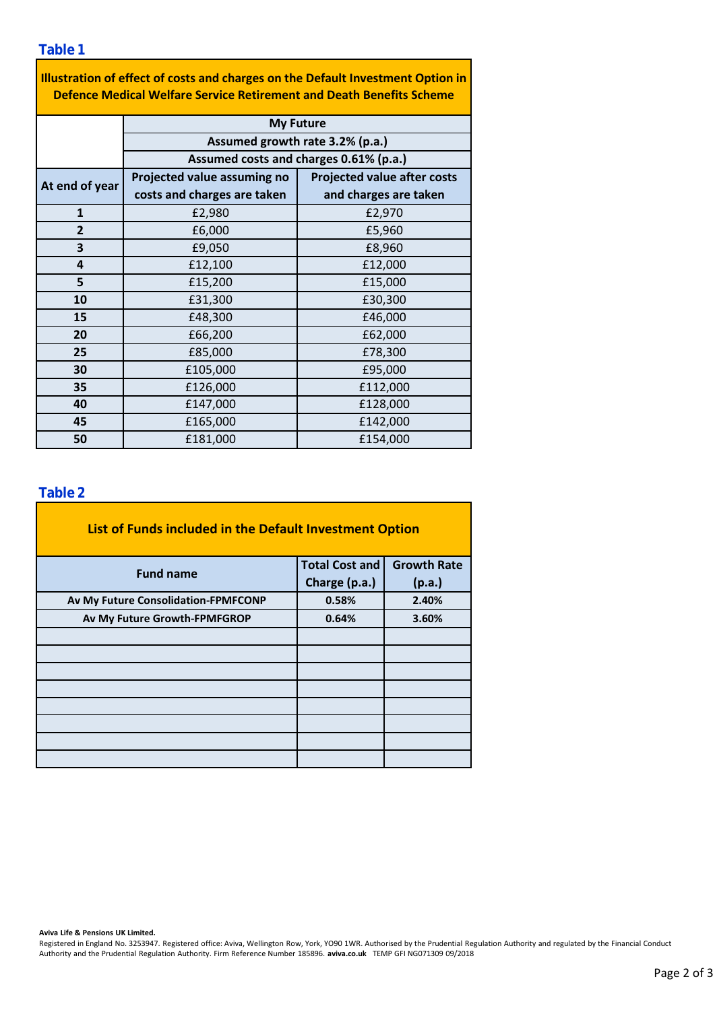**Table 1**

| Illustration of effect of costs and charges on the Default Investment Option in |
|---------------------------------------------------------------------------------|
| Defence Medical Welfare Service Retirement and Death Benefits Scheme            |

|                | <b>My Future</b>                                                          |                                    |  |  |  |  |  |
|----------------|---------------------------------------------------------------------------|------------------------------------|--|--|--|--|--|
|                | Assumed growth rate 3.2% (p.a.)<br>Assumed costs and charges 0.61% (p.a.) |                                    |  |  |  |  |  |
|                |                                                                           |                                    |  |  |  |  |  |
| At end of year | Projected value assuming no                                               | <b>Projected value after costs</b> |  |  |  |  |  |
|                | costs and charges are taken                                               | and charges are taken              |  |  |  |  |  |
| $\mathbf{1}$   | £2,980                                                                    | £2,970                             |  |  |  |  |  |
| $\overline{2}$ | £6,000                                                                    | £5,960                             |  |  |  |  |  |
| 3              | £9,050                                                                    | £8,960                             |  |  |  |  |  |
| 4              | £12,100                                                                   | £12,000                            |  |  |  |  |  |
| 5              | £15,200                                                                   | £15,000                            |  |  |  |  |  |
| 10             | £31,300                                                                   | £30,300                            |  |  |  |  |  |
| 15             | £48,300                                                                   | £46,000                            |  |  |  |  |  |
| 20             | £66,200                                                                   | £62,000                            |  |  |  |  |  |
| 25             | £85,000                                                                   | £78,300                            |  |  |  |  |  |
| 30             | £105,000                                                                  | £95,000                            |  |  |  |  |  |
| 35             | £126,000                                                                  | £112,000                           |  |  |  |  |  |
| 40             | £147,000<br>£128,000                                                      |                                    |  |  |  |  |  |
| 45             | £165,000<br>£142,000                                                      |                                    |  |  |  |  |  |
| 50             | £181,000                                                                  | £154,000                           |  |  |  |  |  |

### **Table 2**

| List of Funds included in the Default Investment Option |                       |                    |  |  |  |  |  |
|---------------------------------------------------------|-----------------------|--------------------|--|--|--|--|--|
| <b>Fund name</b>                                        | <b>Total Cost and</b> | <b>Growth Rate</b> |  |  |  |  |  |
|                                                         | Charge (p.a.)         | (p.a.)             |  |  |  |  |  |
| Av My Future Consolidation-FPMFCONP                     | 0.58%                 | 2.40%              |  |  |  |  |  |
| Av My Future Growth-FPMFGROP                            | 0.64%                 | 3.60%              |  |  |  |  |  |
|                                                         |                       |                    |  |  |  |  |  |
|                                                         |                       |                    |  |  |  |  |  |
|                                                         |                       |                    |  |  |  |  |  |
|                                                         |                       |                    |  |  |  |  |  |
|                                                         |                       |                    |  |  |  |  |  |
|                                                         |                       |                    |  |  |  |  |  |
|                                                         |                       |                    |  |  |  |  |  |
|                                                         |                       |                    |  |  |  |  |  |

**Aviva Life & Pensions UK Limited.**

Registered in England No. 3253947. Registered office: Aviva, Wellington Row, York, YO90 1WR. Authorised by the Prudential Regulation Authority and regulated by the Financial Conduct Authority and the Prudential Regulation Authority. Firm Reference Number 185896. **aviva.co.uk** TEMP GFI NG071309 09/2018